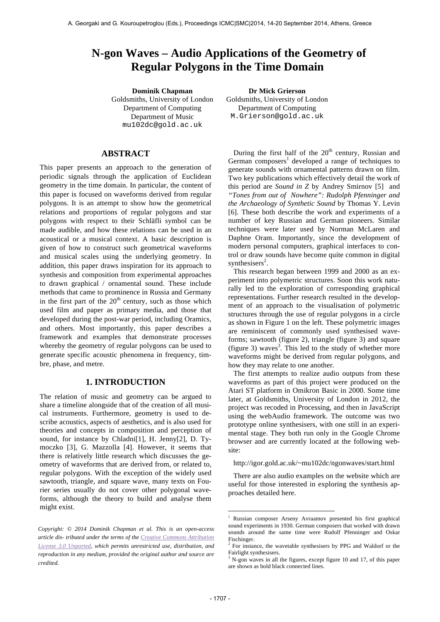# **N-gon Waves – Audio Applications of the Geometry of Regular Polygons in the Time Domain**

**Dominik Chapman Dr Mick Grierson** Goldsmiths, University of London Department of Computing Department of Music mu102dc@gold.ac.uk

## **ABSTRACT**

This paper presents an approach to the generation of periodic signals through the application of Euclidean geometry in the time domain. In particular, the content of this paper is focused on waveforms derived from regular polygons. It is an attempt to show how the geometrical relations and proportions of regular polygons and star polygons with respect to their Schläfli symbol can be made audible, and how these relations can be used in an acoustical or a musical context. A basic description is given of how to construct such geometrical waveforms and musical scales using the underlying geometry. In addition, this paper draws inspiration for its approach to synthesis and composition from experimental approaches to drawn graphical / ornamental sound. These include methods that came to prominence in Russia and Germany in the first part of the  $20<sup>th</sup>$  century, such as those which used film and paper as primary media, and those that developed during the post-war period, including Oramics, and others. Most importantly, this paper describes a framework and examples that demonstrate processes whereby the geometry of regular polygons can be used to generate specific acoustic phenomena in frequency, timbre, phase, and metre.

## **1. INTRODUCTION**

The relation of music and geometry can be argued to share a timeline alongside that of the creation of all musical instruments. Furthermore, geometry is used to describe acoustics, aspects of aesthetics, and is also used for theories and concepts in composition and perception of sound, for instance by Chladni[1], H. Jenny[2], D. Tymoczko [3], G. Mazzolla [4]. However, it seems that there is relatively little research which discusses the geometry of waveforms that are derived from, or related to, regular polygons. With the exception of the widely used sawtooth, triangle, and square wave, many texts on Fourier series usually do not cover other polygonal waveforms, although the theory to build and analyse them might exist.

Goldsmiths, University of London Department of Computing M.Grierson@gold.ac.uk

During the first half of the  $20<sup>th</sup>$  century, Russian and German composers<sup>1</sup> developed a range of techniques to generate sounds with ornamental patterns drawn on film. Two key publications which effectively detail the work of this period are *Sound in Z* by Andrey Smirnov [5] and *"Tones from out of Nowhere": Rudolph Pfenninger and the Archaeology of Synthetic Sound* by Thomas Y. Levin [6]. These both describe the work and experiments of a number of key Russian and German pioneers. Similar techniques were later used by Norman McLaren and Daphne Oram. Importantly, since the development of modern personal computers, graphical interfaces to control or draw sounds have become quite common in digital synthesisers<sup>2</sup>.

This research began between 1999 and 2000 as an experiment into polymetric structures. Soon this work naturally led to the exploration of corresponding graphical representations. Further research resulted in the development of an approach to the visualisation of polymetric structures through the use of regular polygons in a circle as shown in Figure 1 on the left. These polymetric images are reminiscent of commonly used synthesised waveforms; sawtooth (figure 2), triangle (figure 3) and square (figure 3) waves<sup>3</sup>. This led to the study of whether more waveforms might be derived from regular polygons, and how they may relate to one another.

The first attempts to realize audio outputs from these waveforms as part of this project were produced on the Atari ST platform in Omikron Basic in 2000. Some time later, at Goldsmiths, University of London in 2012, the project was recoded in Processing, and then in JavaScript using the webAudio framework. The outcome was two prototype online synthesisers, with one still in an experimental stage. They both run only in the Google Chrome browser and are currently located at the following website:

http://igor.gold.ac.uk/~mu102dc/ngonwaves/start.html

There are also audio examples on the website which are useful for those interested in exploring the synthesis approaches detailed here.

<u>.</u>

*Copyright: © 2014 Dominik Chapman et al. This is an open-access article dis- tributed under the terms of the Creative Commons Attribution License 3.0 Unported, which permits unrestricted use, distribution, and reproduction in any medium, provided the original author and source are credited.*

<sup>1</sup> Russian composer Arseny Avraamov presented his first graphical sound experiments in 1930. German composers that worked with drawn sounds around the same time were Rudolf Pfenninger and Oskar Fischinger.

<sup>&</sup>lt;sup>2</sup> For instance, the wavetable synthesisers by PPG and Waldorf or the Fairlight synthesisers.

<sup>&</sup>lt;sup>3</sup> N-gon waves in all the figures, except figure 10 and 17, of this paper are shown as bold black connected lines.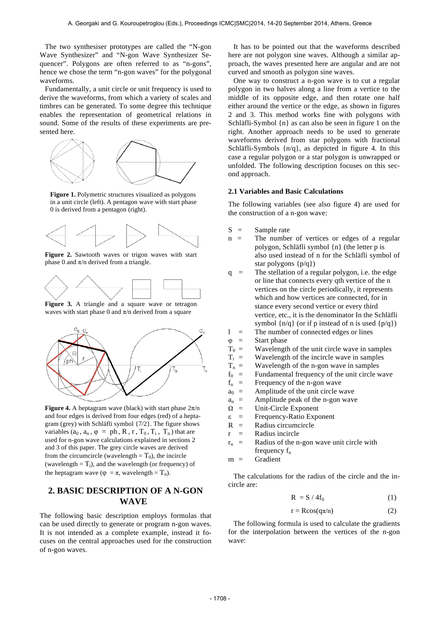The two synthesiser prototypes are called the "N-gon Wave Synthesizer" and "N-gon Wave Synthesizer Sequencer". Polygons are often referred to as "n-gons", hence we chose the term "n-gon waves" for the polygonal waveforms.

Fundamentally, a unit circle or unit frequency is used to derive the waveforms, from which a variety of scales and timbres can be generated. To some degree this technique enables the representation of geometrical relations in sound. Some of the results of these experiments are presented here.



**Figure 1.** Polymetric structures visualized as polygons in a unit circle (left). A pentagon wave with start phase 0 is derived from a pentagon (right).



Figure 2. Sawtooth waves or trigon waves with start phase 0 and  $\pi$ /n derived from a triangle.



Figure 3. A triangle and a square wave or tetragon waves with start phase 0 and  $\pi/n$  derived from a square



**Figure 4.** A heptagram wave (black) with start phase  $2\pi/n$ and four edges is derived from four edges (red) of a heptagram (grey) with Schläfli symbol {7/2}. The figure shows variables  $(a_0, a_n, \varphi = ph, R, r, T_0, T_i, T_n)$  that are used for n-gon wave calculations explained in sections 2 and 3 of this paper. The grey circle waves are derived from the circumcircle (wavelength =  $T_0$ ), the incircle (wavelength  $=T_i$ ), and the wavelength (or frequency) of the heptagram wave ( $\varphi = \pi$ , wavelength = T<sub>n</sub>).

## **2. BASIC DESCRIPTION OF A N-GON WAVE**

The following basic description employs formulas that can be used directly to generate or program n-gon waves. It is not intended as a complete example, instead it focuses on the central approaches used for the construction of n-gon waves.

It has to be pointed out that the waveforms described here are not polygon sine waves. Although a similar approach, the waves presented here are angular and are not curved and smooth as polygon sine waves.

One way to construct a n-gon wave is to cut a regular polygon in two halves along a line from a vertice to the middle of its opposite edge, and then rotate one half either around the vertice or the edge, as shown in figures 2 and 3. This method works fine with polygons with Schläfli-Symbol {n} as can also be seen in figure 1 on the right. Another approach needs to be used to generate waveforms derived from star polygons with fractional Schläfli-Symbols {n/q}, as depicted in figure 4. In this case a regular polygon or a star polygon is unwrapped or unfolded. The following description focuses on this second approach.

## **2.1 Variables and Basic Calculations**

The following variables (see also figure 4) are used for the construction of a n-gon wave:

- $S =$  Sample rate
- $n =$  The number of vertices or edges of a regular polygon, Schläfli symbol {n} (the letter p is also used instead of n for the Schläfli symbol of star polygons {p/q})
- q = The stellation of a regular polygon, i.e. the edge or line that connects every qth vertice of the n vertices on the circle periodically, it represents which and how vertices are connected, for in stance every second vertice or every third vertice, etc., it is the denominator In the Schläfli symbol  $\{n/q\}$  (or if p instead of n is used  $\{p/q\}$ )  $l =$  The number of connected edges or lines
- 
- $\varphi$  = Start phase
- $T_0$  = Wavelength of the unit circle wave in samples
- $T_i$  = Wavelength of the incircle wave in samples
- $T_n$  = Wavelength of the n-gon wave in samples
- $f_0$  = Fundamental frequency of the unit circle wave
- $f_n$  = Frequency of the n-gon wave
- $a_0$  = Amplitude of the unit circle wave
- $a_n$  = Amplitude peak of the n-gon wave
- $\Omega$  = Unit-Circle Exponent
- ε = Frequency-Ratio Exponent
- $R =$  Radius circumcircle
- $r =$ Radius incircle
- $r_n$  = Radius of the n-gon wave unit circle with frequency  $f_n$
- $m =$  Gradient

The calculations for the radius of the circle and the incircle are:

$$
R = S / 4f_0 \tag{1}
$$

$$
r = R\cos(q\pi/n) \tag{2}
$$

The following formula is used to calculate the gradients for the interpolation between the vertices of the n-gon wave: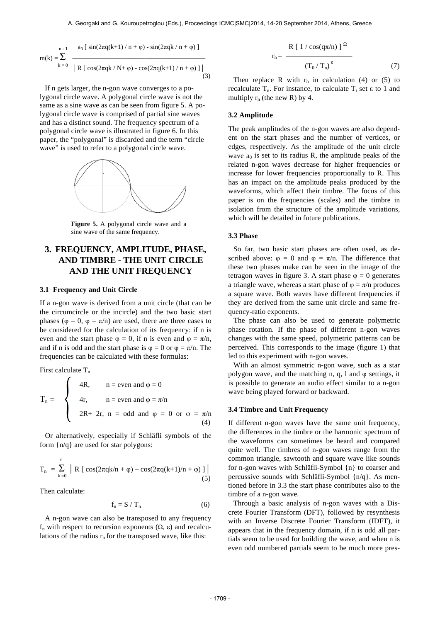$$
m(k) = \sum_{k=0}^{n-1} \frac{a_0 [\sin(2\pi q(k+1)/n + \varphi) - \sin(2\pi qk/n + \varphi)]}{|R [\cos(2\pi qk/N + \varphi) - \cos(2\pi q(k+1)/n + \varphi)]|}
$$
(3)

If n gets larger, the n-gon wave converges to a polygonal circle wave. A polygonal circle wave is not the same as a sine wave as can be seen from figure 5. A polygonal circle wave is comprised of partial sine waves and has a distinct sound. The frequency spectrum of a polygonal circle wave is illustrated in figure 6. In this paper, the "polygonal" is discarded and the term "circle wave" is used to refer to a polygonal circle wave.



**Figure 5.** A polygonal circle wave and a sine wave of the same frequency.

# **3. FREQUENCY, AMPLITUDE, PHASE, AND TIMBRE - THE UNIT CIRCLE AND THE UNIT FREQUENCY**

### **3.1 Frequency and Unit Circle**

If a n-gon wave is derived from a unit circle (that can be the circumcircle or the incircle) and the two basic start phases ( $\varphi = 0$ ,  $\varphi = \pi/n$ ) are used, there are three cases to be considered for the calculation of its frequency: if n is even and the start phase  $\varphi = 0$ , if n is even and  $\varphi = \pi/n$ , and if n is odd and the start phase is  $\varphi = 0$  or  $\varphi = \pi/n$ . The frequencies can be calculated with these formulas:

First calculate  $T_n$ 

$$
T_n = \begin{cases} 4R, & n = \text{even and } \varphi = 0 \\ 4r, & n = \text{even and } \varphi = \pi/n \\ 2R + 2r, & n = \text{odd and } \varphi = 0 \text{ or } \varphi = \pi/n \\ (4) \end{cases}
$$

Or alternatively, especially if Schläfli symbols of the form  $\{n/q\}$  are used for star polygons:

$$
T_n = \sum_{k=0}^{n} | R [\cos(2\pi q k/n + \varphi) - \cos(2\pi q (k+1)/n + \varphi)] |
$$
(5)

Then calculate:

$$
f_n = S / T_n \tag{6}
$$

A n-gon wave can also be transposed to any frequency fn with respect to recursion exponents (Ω, ε) and recalculations of the radius  $r_n$  for the transposed wave, like this:

$$
r_{n} = \frac{R [1 / \cos(q\pi/n)]^{\Omega}}{(T_{0} / T_{n})^{\epsilon}}
$$
(7)

Then replace R with  $r_n$  in calculation (4) or (5) to recalculate  $T_n$ . For instance, to calculate  $T_i$  set  $\varepsilon$  to 1 and multiply  $r_n$  (the new R) by 4.

#### **3.2 Amplitude**

The peak amplitudes of the n-gon waves are also dependent on the start phases and the number of vertices, or edges, respectively. As the amplitude of the unit circle wave  $a_0$  is set to its radius R, the amplitude peaks of the related n-gon waves decrease for higher frequencies or increase for lower frequencies proportionally to R. This has an impact on the amplitude peaks produced by the waveforms, which affect their timbre. The focus of this paper is on the frequencies (scales) and the timbre in isolation from the structure of the amplitude variations, which will be detailed in future publications.

#### **3.3 Phase**

So far, two basic start phases are often used, as described above:  $\varphi = 0$  and  $\varphi = \pi/n$ . The difference that these two phases make can be seen in the image of the tetragon waves in figure 3. A start phase  $\varphi = 0$  generates a triangle wave, whereas a start phase of  $\varphi = \pi/n$  produces a square wave. Both waves have different frequencies if they are derived from the same unit circle and same frequency-ratio exponents.

The phase can also be used to generate polymetric phase rotation. If the phase of different n-gon waves changes with the same speed, polymetric patterns can be perceived. This corresponds to the image (figure 1) that led to this experiment with n-gon waves.

With an almost symmetric n-gon wave, such as a star polygon wave, and the matching n, q, l and  $\varphi$  settings, it is possible to generate an audio effect similar to a n-gon wave being played forward or backward.

### **3.4 Timbre and Unit Frequency**

If different n-gon waves have the same unit frequency, the differences in the timbre or the harmonic spectrum of the waveforms can sometimes be heard and compared quite well. The timbres of n-gon waves range from the common triangle, sawtooth and square wave like sounds for n-gon waves with Schläfli-Symbol {n} to coarser and percussive sounds with Schläfli-Symbol {n/q}. As mentioned before in 3.3 the start phase contributes also to the timbre of a n-gon wave.

Through a basic analysis of n-gon waves with a Discrete Fourier Transform (DFT), followed by resynthesis with an Inverse Discrete Fourier Transform (IDFT), it appears that in the frequency domain, if n is odd all partials seem to be used for building the wave, and when n is even odd numbered partials seem to be much more pres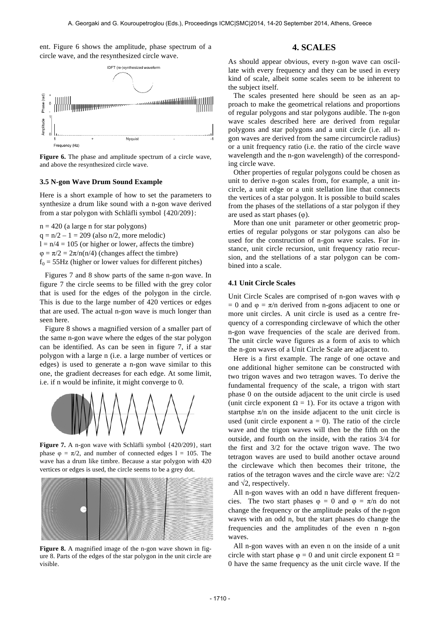ent. Figure 6 shows the amplitude, phase spectrum of a circle wave, and the resynthesized circle wave.



Figure 6. The phase and amplitude spectrum of a circle wave, and above the resynthesized circle wave.

### **3.5 N-gon Wave Drum Sound Example**

Here is a short example of how to set the parameters to synthesize a drum like sound with a n-gon wave derived from a star polygon with Schläfli symbol {420/209}:

 $n = 420$  (a large n for star polygons)  $q = n/2 - 1 = 209$  (also  $n/2$ , more melodic)  $l = n/4 = 105$  (or higher or lower, affects the timbre)  $\varphi = \pi/2 = 2\pi/n(n/4)$  (changes affect the timbre)  $f_0 = 55$ Hz (higher or lower values for different pitches)

Figures 7 and 8 show parts of the same n-gon wave. In figure 7 the circle seems to be filled with the grey color that is used for the edges of the polygon in the circle. This is due to the large number of 420 vertices or edges that are used. The actual n-gon wave is much longer than seen here.

Figure 8 shows a magnified version of a smaller part of the same n-gon wave where the edges of the star polygon can be identified. As can be seen in figure 7, if a star polygon with a large n (i.e. a large number of vertices or edges) is used to generate a n-gon wave similar to this one, the gradient decreases for each edge. At some limit, i.e. if n would be infinite, it might converge to 0.



**Figure 7.** A n-gon wave with Schläfli symbol {420/209}, start phase  $\varphi = \pi/2$ , and number of connected edges  $l = 105$ . The wave has a drum like timbre. Because a star polygon with 420 vertices or edges is used, the circle seems to be a grey dot.



Figure 8. A magnified image of the n-gon wave shown in figure 8. Parts of the edges of the star polygon in the unit circle are visible.

## **4. SCALES**

As should appear obvious, every n-gon wave can oscillate with every frequency and they can be used in every kind of scale, albeit some scales seem to be inherent to the subject itself.

The scales presented here should be seen as an approach to make the geometrical relations and proportions of regular polygons and star polygons audible. The n-gon wave scales described here are derived from regular polygons and star polygons and a unit circle (i.e. all ngon waves are derived from the same circumcircle radius) or a unit frequency ratio (i.e. the ratio of the circle wave wavelength and the n-gon wavelength) of the corresponding circle wave.

Other properties of regular polygons could be chosen as unit to derive n-gon scales from, for example, a unit incircle, a unit edge or a unit stellation line that connects the vertices of a star polygon. It is possible to build scales from the phases of the stellations of a star polygon if they are used as start phases  $(\varphi)$ .

More than one unit parameter or other geometric properties of regular polygons or star polygons can also be used for the construction of n-gon wave scales. For instance, unit circle recursion, unit frequency ratio recursion, and the stellations of a star polygon can be combined into a scale.

#### **4.1 Unit Circle Scales**

Unit Circle Scales are comprised of n-gon waves with φ  $= 0$  and  $\varphi = \pi/n$  derived from n-gons adjacent to one or more unit circles. A unit circle is used as a centre frequency of a corresponding circlewave of which the other n-gon wave frequencies of the scale are derived from. The unit circle wave figures as a form of axis to which the n-gon waves of a Unit Circle Scale are adjacent to.

Here is a first example. The range of one octave and one additional higher semitone can be constructed with two trigon waves and two tetragon waves. To derive the fundamental frequency of the scale, a trigon with start phase 0 on the outside adjacent to the unit circle is used (unit circle exponent  $\Omega = 1$ ). For its octave a trigon with startphse  $\pi/n$  on the inside adjacent to the unit circle is used (unit circle exponent  $a = 0$ ). The ratio of the circle wave and the trigon waves will then be the fifth on the outside, and fourth on the inside, with the ratios 3/4 for the first and 3/2 for the octave trigon wave. The two tetragon waves are used to build another octave around the circlewave which then becomes their tritone, the ratios of the tetragon waves and the circle wave are:  $\sqrt{2}/2$ and  $\sqrt{2}$ , respectively.

All n-gon waves with an odd n have different frequencies. The two start phases  $\varphi = 0$  and  $\varphi = \pi/n$  do not change the frequency or the amplitude peaks of the n-gon waves with an odd n, but the start phases do change the frequencies and the amplitudes of the even n n-gon waves.

All n-gon waves with an even n on the inside of a unit circle with start phase  $\varphi = 0$  and unit circle exponent  $\Omega =$ 0 have the same frequency as the unit circle wave. If the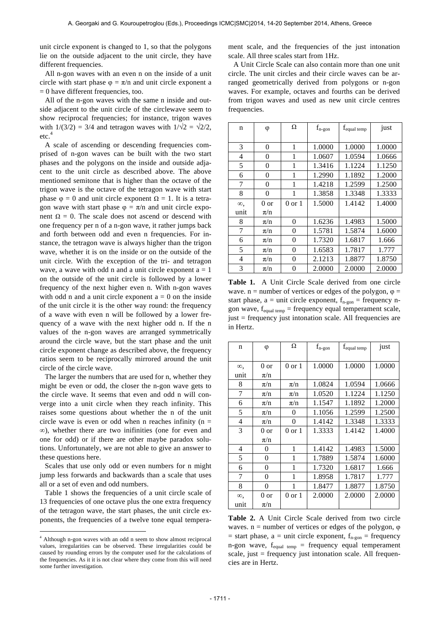unit circle exponent is changed to 1, so that the polygons lie on the outside adjacent to the unit circle, they have different frequencies.

All n-gon waves with an even n on the inside of a unit circle with start phase  $\varphi = \pi/n$  and unit circle exponent a  $= 0$  have different frequencies, too.

All of the n-gon waves with the same n inside and outside adjacent to the unit circle of the circlewave seem to show reciprocal frequencies; for instance, trigon waves with  $1/(3/2) = 3/4$  and tetragon waves with  $1/\sqrt{2} = \sqrt{2}/2$ , etc.<sup>4</sup>

A scale of ascending or descending frequencies comprised of n-gon waves can be built with the two start phases and the polygons on the inside and outside adjacent to the unit circle as described above. The above mentioned semitone that is higher than the octave of the trigon wave is the octave of the tetragon wave with start phase  $\varphi = 0$  and unit circle exponent  $\Omega = 1$ . It is a tetragon wave with start phase  $\varphi = \pi/n$  and unit circle exponent  $Ω = 0$ . The scale does not ascend or descend with one frequency per n of a n-gon wave, it rather jumps back and forth between odd and even n frequencies. For instance, the tetragon wave is always higher than the trigon wave, whether it is on the inside or on the outside of the unit circle. With the exception of the tri- and tetragon wave, a wave with odd n and a unit circle exponent  $a = 1$ on the outside of the unit circle is followed by a lower frequency of the next higher even n. With n-gon waves with odd n and a unit circle exponent  $a = 0$  on the inside of the unit circle it is the other way round: the frequency of a wave with even n will be followed by a lower frequency of a wave with the next higher odd n. If the n values of the n-gon waves are arranged symmetrically around the circle wave, but the start phase and the unit circle exponent change as described above, the frequency ratios seem to be reciprocally mirrored around the unit circle of the circle wave.

The larger the numbers that are used for n, whether they might be even or odd, the closer the n-gon wave gets to the circle wave. It seems that even and odd n will converge into a unit circle when they reach infinity. This raises some questions about whether the n of the unit circle wave is even or odd when n reaches infinity ( $n =$ ∞), whether there are two inifinities (one for even and one for odd) or if there are other maybe paradox solutions. Unfortunately, we are not able to give an answer to these questions here.

Scales that use only odd or even numbers for n might jump less forwards and backwards than a scale that uses all or a set of even and odd numbers.

Table 1 shows the frequencies of a unit circle scale of 13 frequencies of one octave plus the one extra frequency of the tetragon wave, the start phases, the unit circle exponents, the frequencies of a twelve tone equal tempera-

 $\overline{a}$ 

ment scale, and the frequencies of the just intonation scale. All three scales start from 1Hz.

A Unit Circle Scale can also contain more than one unit circle. The unit circles and their circle waves can be arranged geometrically derived from polygons or n-gon waves. For example, octaves and fourths can be derived from trigon waves and used as new unit circle centres frequencies.

| n          | φ              | Ω                 | $f_{\rm n\hbox{-}gon}$ | $f_{equal\ temp}$ | just   |
|------------|----------------|-------------------|------------------------|-------------------|--------|
|            |                |                   |                        |                   |        |
| 3          | $\overline{0}$ | 1                 | 1.0000                 | 1.0000            | 1.0000 |
| 4          | 0              | $\mathbf{1}$      | 1.0607                 | 1.0594            | 1.0666 |
| 5          | 0              | 1                 | 1.3416                 | 1.1224            | 1.1250 |
| 6          | 0              | 1                 | 1.2990                 | 1.1892            | 1.2000 |
| 7          | 0              | 1                 | 1.4218                 | 1.2599            | 1.2500 |
| 8          | $\theta$       | 1                 | 1.3858                 | 1.3348            | 1.3333 |
| $\infty$ . | 0 or           | $0 \text{ or } 1$ | 1.5000                 | 1.4142            | 1.4000 |
| unit       | $\pi/n$        |                   |                        |                   |        |
| 8          | $\pi/n$        | $\overline{0}$    | 1.6236                 | 1.4983            | 1.5000 |
| 7          | $\pi/n$        | $\overline{0}$    | 1.5781                 | 1.5874            | 1.6000 |
| 6          | $\pi/n$        | $\overline{0}$    | 1.7320                 | 1.6817            | 1.666  |
| 5          | $\pi/n$        | $\overline{0}$    | 1.6583                 | 1.7817            | 1.777  |
| 4          | $\pi/n$        | $\overline{0}$    | 2.1213                 | 1.8877            | 1.8750 |
| 3          | $\pi/n$        | $\theta$          | 2.0000                 | 2.0000            | 2.0000 |

**Table 1.** A Unit Circle Scale derived from one circle wave.  $n =$  number of vertices or edges of the polygon,  $\varphi =$ start phase,  $a =$  unit circle exponent,  $f_{n-gon} =$  frequency ngon wave,  $f_{equal\ temp}$  = frequency equal temperament scale, just = frequency just intonation scale. All frequencies are in Hertz.

| $\mathbf n$    | φ       | Ω                 | $f_{\rm n\hbox{-}gon}$ | f <sub>equal temp</sub> | just   |
|----------------|---------|-------------------|------------------------|-------------------------|--------|
|                |         |                   |                        |                         |        |
| $\infty$ .     | 0 or    | $0$ or $1$        | 1.0000                 | 1.0000                  | 1.0000 |
| unit           | $\pi/n$ |                   |                        |                         |        |
| 8              | $\pi/n$ | $\pi/n$           | 1.0824                 | 1.0594                  | 1.0666 |
| 7              | $\pi/n$ | $\pi/n$           | 1.0520                 | 1.1224                  | 1.1250 |
| 6              | $\pi/n$ | $\pi/n$           | 1.1547                 | 1.1892                  | 1.2000 |
| 5              | $\pi/n$ | 0                 | 1.1056                 | 1.2599                  | 1.2500 |
| $\overline{4}$ | $\pi/n$ | $\Omega$          | 1.4142                 | 1.3348                  | 1.3333 |
| 3              | 0 or    | $0 \text{ or } 1$ | 1.3333                 | 1.4142                  | 1.4000 |
|                | $\pi/n$ |                   |                        |                         |        |
| $\overline{4}$ | 0       | 1                 | 1.4142                 | 1.4983                  | 1.5000 |
| 5              | 0       | 1                 | 1.7889                 | 1.5874                  | 1.6000 |
| 6              | 0       | 1                 | 1.7320                 | 1.6817                  | 1.666  |
| 7              | 0       | 1                 | 1.8958                 | 1.7817                  | 1.777  |
| 8              | 0       | 1                 | 1.8477                 | 1.8877                  | 1.8750 |
| $\infty$       | 0 or    | 0 or 1            | 2.0000                 | 2.0000                  | 2.0000 |
| unit           | $\pi/n$ |                   |                        |                         |        |

**Table 2.** A Unit Circle Scale derived from two circle waves.  $n =$  number of vertices or edges of the polygon,  $\varphi$ = start phase,  $a$  = unit circle exponent,  $f_{n-gon}$  = frequency n-gon wave,  $f_{equal term}$  = frequency equal temperament scale, just  $=$  frequency just intonation scale. All frequencies are in Hertz.

<sup>4</sup> Although n-gon waves with an odd n seem to show almost reciprocal values, irregularities can be observed. These irregularities could be caused by rounding errors by the computer used for the calculations of the frequencies. As it it is not clear where they come from this will need some further investigation.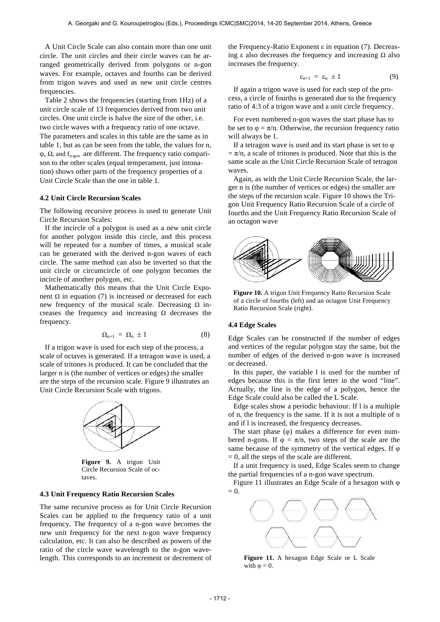A Unit Circle Scale can also contain more than one unit circle. The unit circles and their circle waves can be arranged geometrically derived from polygons or n-gon waves. For example, octaves and fourths can be derived from trigon waves and used as new unit circle centres frequencies.

Table 2 shows the frequencies (starting from 1Hz) of a unit circle scale of 13 frequencies derived from two unit circles. One unit circle is halve the size of the other, i.e. two circle waves with a frequency ratio of one octave. The parameters and scales in this table are the same as in table 1, but as can be seen from the table, the values for n,  $\varphi$ ,  $\Omega$ , and  $f_{n-gon}$  are different. The frequency ratio comparison to the other scales (equal temperament, just intonation) shows other parts of the frequency properties of a Unit Circle Scale than the one in table 1.

## **4.2 Unit Circle Recursion Scales**

The following recursive process is used to generate Unit Circle Recursion Scales:

If the incircle of a polygon is used as a new unit circle for another polygon inside this circle, and this process will be repeated for a number of times, a musical scale can be generated with the derived n-gon waves of each circle. The same method can also be inverted so that the unit circle or circumcircle of one polygon becomes the incircle of another polygon, etc.

Mathematically this means that the Unit Circle Exponent Ω in equation (7) is increased or decreased for each new frequency of the musical scale. Decreasing  $Ω$  increases the frequency and increasing  $\Omega$  decreases the frequency.

$$
\Omega_{n+1} = \Omega_n \pm 1 \tag{8}
$$

If a trigon wave is used for each step of the process, a scale of octaves is generated. If a tetragon wave is used, a scale of tritones is produced. It can be concluded that the larger n is (the number of vertices or edges) the smaller are the steps of the recursion scale. Figure 9 illustrates an Unit Circle Recursion Scale with trigons.



**Figure 9.** A trigon Unit Circle Recursion Scale of octaves.

## **4.3 Unit Frequency Ratio Recursion Scales**

The same recursive process as for Unit Circle Recursion Scales can be applied to the frequency ratio of a unit frequency. The frequency of a n-gon wave becomes the new unit frequency for the next n-gon wave frequency calculation, etc. It can also be described as powers of the ratio of the circle wave wavelength to the n-gon wavelength. This corresponds to an increment or decrement of the Frequency-Ratio Exponent ε in equation  $(7)$ . Decreasing ε also decreases the frequency and increasing  $Ω$  also increases the frequency.

$$
\varepsilon_{n+1} = \varepsilon_n \pm 1 \tag{9}
$$

If again a trigon wave is used for each step of the process, a circle of fourths is generated due to the frequency ratio of 4:3 of a trigon wave and a unit circle frequency.

For even numbered n-gon waves the start phase has to be set to  $\varphi = \pi/n$ . Otherwise, the recursion frequency ratio will always be 1.

If a tetragon wave is used and its start phase is set to  $\varphi$  $=\pi/n$ , a scale of tritones is produced. Note that this is the same scale as the Unit Circle Recursion Scale of tetragon waves.

Again, as with the Unit Circle Recursion Scale, the larger n is (the number of vertices or edges) the smaller are the steps of the recursion scale. Figure 10 shows the Trigon Unit Frequency Ratio Recursion Scale of a circle of fourths and the Unit Frequency Ratio Recursion Scale of an octagon wave



**Figure 10.** A trigon Unit Frequency Ratio Recursion Scale of a circle of fourths (left) and an octagon Unit Frequency Ratio Recursion Scale (right).

#### **4.4 Edge Scales**

Edge Scales can be constructed if the number of edges and vertices of the regular polygon stay the same, but the number of edges of the derived n-gon wave is increased or decreased.

In this paper, the variable l is used for the number of edges because this is the first letter in the word "line". Actually, the line is the edge of a polygon, hence the Edge Scale could also be called the L Scale.

Edge scales show a periodic behaviour. If l is a multiple of n, the frequency is the same. If it is not a multiple of n and if l is increased, the frequency decreases.

The start phase (φ) makes a difference for even numbered n-gons. If  $\varphi = \pi/n$ , two steps of the scale are the same because of the symmetry of the vertical edges. If φ  $= 0$ , all the steps of the scale are different.

If a unit frequency is used, Edge Scales seem to change the partial frequencies of a n-gon wave spectrum.

Figure 11 illustrates an Edge Scale of a hexagon with φ  $= 0$ .



**Figure 11.** A hexagon Edge Scale or L Scale with  $\omega = 0$ .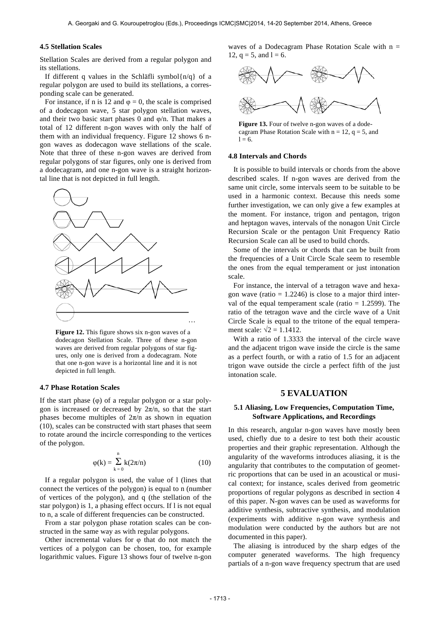## **4.5 Stellation Scales**

Stellation Scales are derived from a regular polygon and its stellations.

If different q values in the Schläfli symbol $\{n/q\}$  of a regular polygon are used to build its stellations, a corresponding scale can be generated.

For instance, if n is 12 and  $\varphi = 0$ , the scale is comprised of a dodecagon wave, 5 star polygon stellation waves, and their two basic start phases 0 and  $\varphi/n$ . That makes a total of 12 different n-gon waves with only the half of them with an individual frequency. Figure 12 shows 6 ngon waves as dodecagon wave stellations of the scale. Note that three of these n-gon waves are derived from regular polygons of star figures, only one is derived from a dodecagram, and one n-gon wave is a straight horizontal line that is not depicted in full length.



**Figure 12.** This figure shows six n-gon waves of a dodecagon Stellation Scale. Three of these n-gon waves are derived from regular polygons of star figures, only one is derived from a dodecagram. Note that one n-gon wave is a horizontal line and it is not depicted in full length.

#### **4.7 Phase Rotation Scales**

If the start phase  $(\varphi)$  of a regular polygon or a star polygon is increased or decreased by  $2\pi/n$ , so that the start phases become multiples of  $2\pi/n$  as shown in equation (10), scales can be constructed with start phases that seem to rotate around the incircle corresponding to the vertices of the polygon.

$$
\varphi(k) = \sum_{k=0}^{n} k(2\pi/n)
$$
 (10)

If a regular polygon is used, the value of l (lines that connect the vertices of the polygon) is equal to n (number of vertices of the polygon), and q (the stellation of the star polygon) is 1, a phasing effect occurs. If l is not equal to n, a scale of different frequencies can be constructed.

From a star polygon phase rotation scales can be constructed in the same way as with regular polygons.

Other incremental values for  $\varphi$  that do not match the vertices of a polygon can be chosen, too, for example logarithmic values. Figure 13 shows four of twelve n-gon waves of a Dodecagram Phase Rotation Scale with  $n =$ 12,  $q = 5$ , and  $l = 6$ .



Figure 13. Four of twelve n-gon waves of a dode-

cagram Phase Rotation Scale with  $n = 12$ ,  $q = 5$ , and  $1 = 6.$ 

#### **4.8 Intervals and Chords**

It is possible to build intervals or chords from the above described scales. If n-gon waves are derived from the same unit circle, some intervals seem to be suitable to be used in a harmonic context. Because this needs some further investigation, we can only give a few examples at the moment. For instance, trigon and pentagon, trigon and heptagon waves, intervals of the nonagon Unit Circle Recursion Scale or the pentagon Unit Frequency Ratio Recursion Scale can all be used to build chords.

Some of the intervals or chords that can be built from the frequencies of a Unit Circle Scale seem to resemble the ones from the equal temperament or just intonation scale.

For instance, the interval of a tetragon wave and hexagon wave (ratio  $= 1.2246$ ) is close to a major third interval of the equal temperament scale (ratio  $= 1.2599$ ). The ratio of the tetragon wave and the circle wave of a Unit Circle Scale is equal to the tritone of the equal temperament scale:  $\sqrt{2} = 1.1412$ .

With a ratio of 1.3333 the interval of the circle wave and the adjacent trigon wave inside the circle is the same as a perfect fourth, or with a ratio of 1.5 for an adjacent trigon wave outside the circle a perfect fifth of the just intonation scale.

## **5 EVALUATION**

## **5.1 Aliasing, Low Frequencies, Computation Time, Software Applications, and Recordings**

In this research, angular n-gon waves have mostly been used, chiefly due to a desire to test both their acoustic properties and their graphic representation. Although the angularity of the waveforms introduces aliasing, it is the angularity that contributes to the computation of geometric proportions that can be used in an acoustical or musical context; for instance, scales derived from geometric proportions of regular polygons as described in section 4 of this paper. N-gon waves can be used as waveforms for additive synthesis, subtractive synthesis, and modulation (experiments with additive n-gon wave synthesis and modulation were conducted by the authors but are not documented in this paper).

The aliasing is introduced by the sharp edges of the computer generated waveforms. The high frequency partials of a n-gon wave frequency spectrum that are used